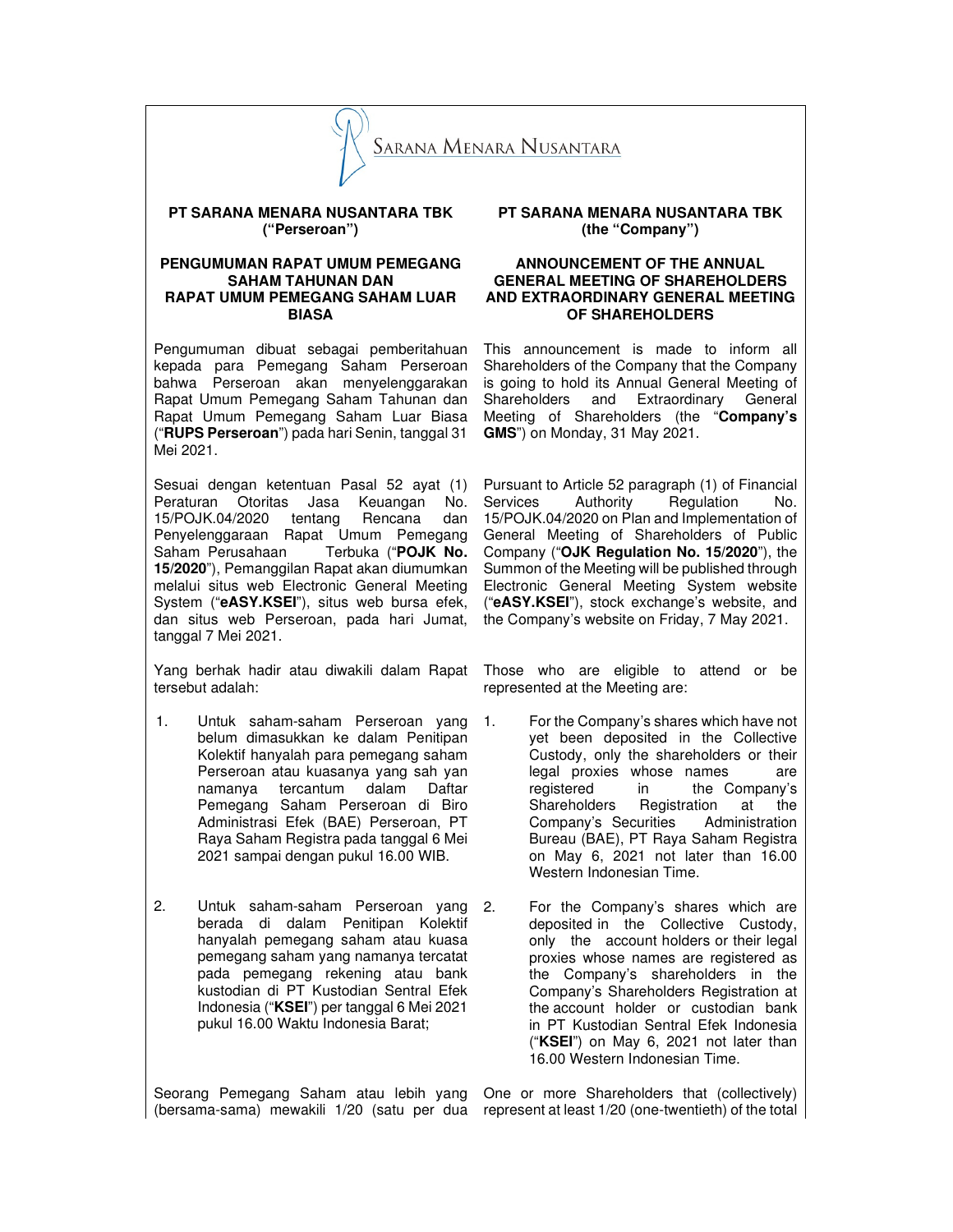

## **PT SARANA MENARA NUSANTARA TBK ("Perseroan")**

## **PENGUMUMAN RAPAT UMUM PEMEGANG SAHAM TAHUNAN DAN RAPAT UMUM PEMEGANG SAHAM LUAR BIASA**

Pengumuman dibuat sebagai pemberitahuan kepada para Pemegang Saham Perseroan bahwa Perseroan akan menyelenggarakan Rapat Umum Pemegang Saham Tahunan dan Rapat Umum Pemegang Saham Luar Biasa ("**RUPS Perseroan**") pada hari Senin, tanggal 31 Mei 2021.

Sesuai dengan ketentuan Pasal 52 ayat (1) Peraturan Otoritas Jasa Keuangan No. 15/POJK.04/2020 tentang Rencana dan Penyelenggaraan Rapat Umum Pemegang Saham Perusahaan Terbuka ("**POJK No. 15/2020**"), Pemanggilan Rapat akan diumumkan melalui situs web Electronic General Meeting System ("**eASY.KSEI**"), situs web bursa efek, dan situs web Perseroan, pada hari Jumat, tanggal 7 Mei 2021.

Yang berhak hadir atau diwakili dalam Rapat tersebut adalah:

- 1. Untuk saham-saham Perseroan yang belum dimasukkan ke dalam Penitipan Kolektif hanyalah para pemegang saham Perseroan atau kuasanya yang sah yan namanya tercantum dalam Daftar Pemegang Saham Perseroan di Biro Administrasi Efek (BAE) Perseroan, PT Raya Saham Registra pada tanggal 6 Mei 2021 sampai dengan pukul 16.00 WIB.
- 2. Untuk saham-saham Perseroan yang berada di dalam Penitipan Kolektif hanyalah pemegang saham atau kuasa pemegang saham yang namanya tercatat pada pemegang rekening atau bank kustodian di PT Kustodian Sentral Efek Indonesia ("**KSEI**") per tanggal 6 Mei 2021 pukul 16.00 Waktu Indonesia Barat;

Seorang Pemegang Saham atau lebih yang One or more Shareholders that (collectively) (bersama-sama) mewakili 1/20 (satu per dua represent at least 1/20 (one-twentieth) of the total

**PT SARANA MENARA NUSANTARA TBK (the "Company")** 

# **ANNOUNCEMENT OF THE ANNUAL GENERAL MEETING OF SHAREHOLDERS AND EXTRAORDINARY GENERAL MEETING OF SHAREHOLDERS**

This announcement is made to inform all Shareholders of the Company that the Company is going to hold its Annual General Meeting of<br>Shareholders and Extraordinary General Shareholders and Extraordinary Meeting of Shareholders (the "**Company's GMS**") on Monday, 31 May 2021.

Pursuant to Article 52 paragraph (1) of Financial Services Authority Regulation No. 15/POJK.04/2020 on Plan and Implementation of General Meeting of Shareholders of Public Company ("**OJK Regulation No. 15/2020**"), the Summon of the Meeting will be published through Electronic General Meeting System website ("**eASY.KSEI**"), stock exchange's website, and the Company's website on Friday, 7 May 2021.

Those who are eligible to attend or be represented at the Meeting are:

- 1. For the Company's shares which have not yet been deposited in the Collective Custody, only the shareholders or their legal proxies whose names are registered in the Company's Shareholders Registration at the<br>Company's Securities Administration Company's Securities Bureau (BAE), PT Raya Saham Registra on May 6, 2021 not later than 16.00 Western Indonesian Time.
	- For the Company's shares which are deposited in the Collective Custody, only the account holders or their legal proxies whose names are registered as the Company's shareholders in the Company's Shareholders Registration at the account holder or custodian bank in PT Kustodian Sentral Efek Indonesia ("**KSEI**") on May 6, 2021 not later than 16.00 Western Indonesian Time.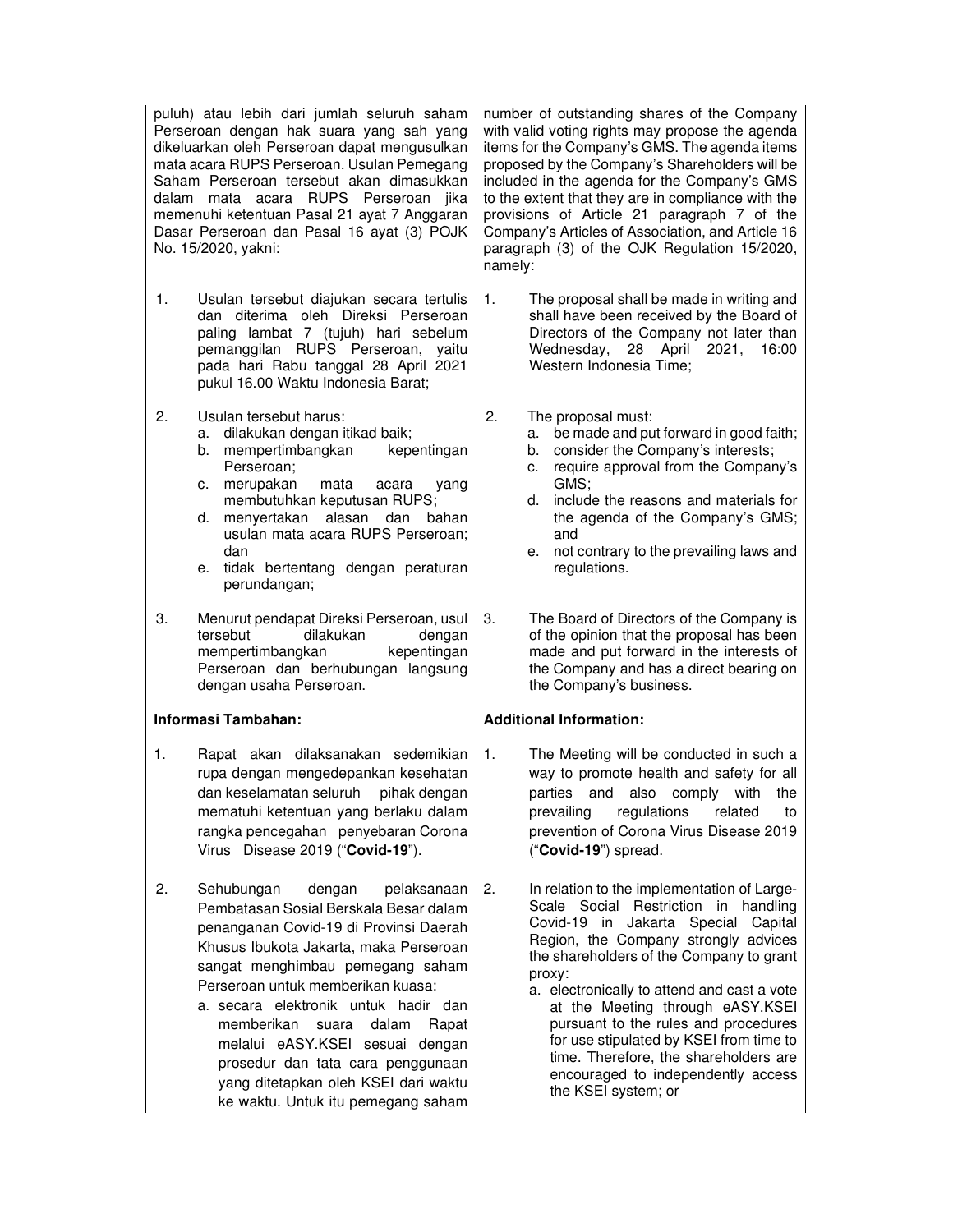puluh) atau lebih dari jumlah seluruh saham Perseroan dengan hak suara yang sah yang dikeluarkan oleh Perseroan dapat mengusulkan mata acara RUPS Perseroan. Usulan Pemegang Saham Perseroan tersebut akan dimasukkan dalam mata acara RUPS Perseroan jika memenuhi ketentuan Pasal 21 ayat 7 Anggaran Dasar Perseroan dan Pasal 16 ayat (3) POJK No. 15/2020, yakni:

- 1. Usulan tersebut diajukan secara tertulis dan diterima oleh Direksi Perseroan paling lambat 7 (tujuh) hari sebelum pemanggilan RUPS Perseroan, yaitu pada hari Rabu tanggal 28 April 2021 pukul 16.00 Waktu Indonesia Barat;
- 2. Usulan tersebut harus:
	- a. dilakukan dengan itikad baik;
	- b. mempertimbangkan kepentingan Perseroan;
	- c. merupakan mata acara yang membutuhkan keputusan RUPS;
	- d. menyertakan alasan dan bahan usulan mata acara RUPS Perseroan; dan
	- e. tidak bertentang dengan peraturan perundangan;
- 3. Menurut pendapat Direksi Perseroan, usul tersebut dilakukan dengan mempertimbangkan kepentingan Perseroan dan berhubungan langsung dengan usaha Perseroan.

- 1. Rapat akan dilaksanakan sedemikian rupa dengan mengedepankan kesehatan dan keselamatan seluruh pihak dengan mematuhi ketentuan yang berlaku dalam rangka pencegahan penyebaran Corona Virus Disease 2019 ("**Covid-19**").
- 2. Sehubungan dengan pelaksanaan Pembatasan Sosial Berskala Besar dalam penanganan Covid-19 di Provinsi Daerah Khusus Ibukota Jakarta, maka Perseroan sangat menghimbau pemegang saham Perseroan untuk memberikan kuasa:
	- a. secara elektronik untuk hadir dan memberikan suara dalam Rapat melalui eASY.KSEI sesuai dengan prosedur dan tata cara penggunaan yang ditetapkan oleh KSEI dari waktu ke waktu. Untuk itu pemegang saham

number of outstanding shares of the Company with valid voting rights may propose the agenda items for the Company's GMS. The agenda items proposed by the Company's Shareholders will be included in the agenda for the Company's GMS to the extent that they are in compliance with the provisions of Article 21 paragraph 7 of the Company's Articles of Association, and Article 16 paragraph (3) of the OJK Regulation 15/2020, namely:

- 1. The proposal shall be made in writing and shall have been received by the Board of Directors of the Company not later than Wednesday, 28 April 2021, 16:00 Western Indonesia Time;
- 2. The proposal must:
	- a. be made and put forward in good faith;
	- b. consider the Company's interests;
	- c. require approval from the Company's GMS;
	- d. include the reasons and materials for the agenda of the Company's GMS; and
	- e. not contrary to the prevailing laws and regulations.
	- The Board of Directors of the Company is of the opinion that the proposal has been made and put forward in the interests of the Company and has a direct bearing on the Company's business.

# **Informasi Tambahan: Additional Information:**

- The Meeting will be conducted in such a way to promote health and safety for all parties and also comply with the prevailing regulations related to prevention of Corona Virus Disease 2019 ("**Covid-19**") spread.
- In relation to the implementation of Large-Scale Social Restriction in handling Covid-19 in Jakarta Special Capital Region, the Company strongly advices the shareholders of the Company to grant proxy:
	- a. electronically to attend and cast a vote at the Meeting through eASY.KSEI pursuant to the rules and procedures for use stipulated by KSEI from time to time. Therefore, the shareholders are encouraged to independently access the KSEI system; or